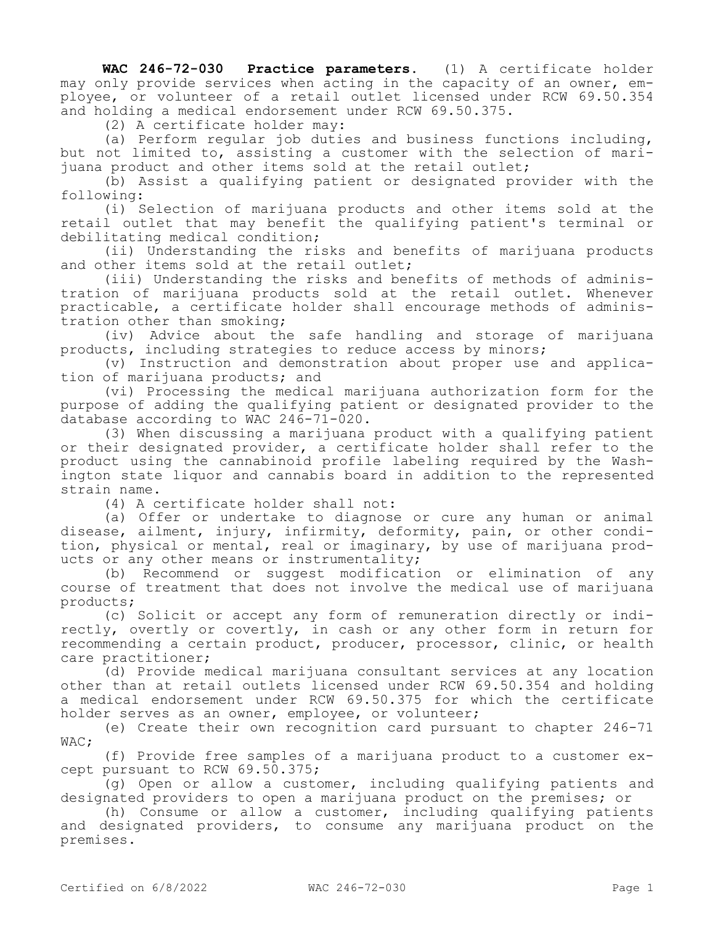**WAC 246-72-030 Practice parameters.** (1) A certificate holder may only provide services when acting in the capacity of an owner, employee, or volunteer of a retail outlet licensed under RCW 69.50.354 and holding a medical endorsement under RCW 69.50.375.

(2) A certificate holder may:

(a) Perform regular job duties and business functions including, but not limited to, assisting a customer with the selection of marijuana product and other items sold at the retail outlet;

(b) Assist a qualifying patient or designated provider with the following:

(i) Selection of marijuana products and other items sold at the retail outlet that may benefit the qualifying patient's terminal or debilitating medical condition;

(ii) Understanding the risks and benefits of marijuana products and other items sold at the retail outlet;

(iii) Understanding the risks and benefits of methods of administration of marijuana products sold at the retail outlet. Whenever practicable, a certificate holder shall encourage methods of administration other than smoking;

(iv) Advice about the safe handling and storage of marijuana products, including strategies to reduce access by minors;

(v) Instruction and demonstration about proper use and application of marijuana products; and

(vi) Processing the medical marijuana authorization form for the purpose of adding the qualifying patient or designated provider to the database according to WAC 246-71-020.

(3) When discussing a marijuana product with a qualifying patient or their designated provider, a certificate holder shall refer to the product using the cannabinoid profile labeling required by the Washington state liquor and cannabis board in addition to the represented strain name.

(4) A certificate holder shall not:

(a) Offer or undertake to diagnose or cure any human or animal disease, ailment, injury, infirmity, deformity, pain, or other condition, physical or mental, real or imaginary, by use of marijuana products or any other means or instrumentality;

(b) Recommend or suggest modification or elimination of any course of treatment that does not involve the medical use of marijuana products;

(c) Solicit or accept any form of remuneration directly or indirectly, overtly or covertly, in cash or any other form in return for recommending a certain product, producer, processor, clinic, or health care practitioner;

(d) Provide medical marijuana consultant services at any location other than at retail outlets licensed under RCW 69.50.354 and holding a medical endorsement under RCW 69.50.375 for which the certificate holder serves as an owner, employee, or volunteer;

(e) Create their own recognition card pursuant to chapter 246-71 WAC;

(f) Provide free samples of a marijuana product to a customer except pursuant to RCW 69.50.375;

(g) Open or allow a customer, including qualifying patients and designated providers to open a marijuana product on the premises; or

(h) Consume or allow a customer, including qualifying patients and designated providers, to consume any marijuana product on the premises.